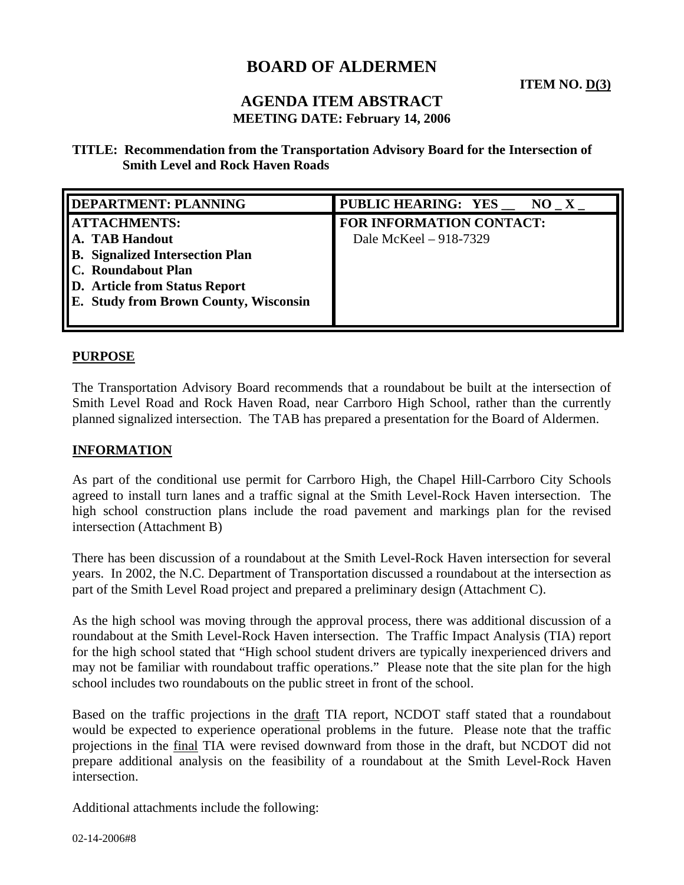# **BOARD OF ALDERMEN**

## **AGENDA ITEM ABSTRACT MEETING DATE: February 14, 2006**

**TITLE: Recommendation from the Transportation Advisory Board for the Intersection of Smith Level and Rock Haven Roads** 

| <b>DEPARTMENT: PLANNING</b>            | PUBLIC HEARING: YES __ NO_X_ |
|----------------------------------------|------------------------------|
| <b>ATTACHMENTS:</b>                    | FOR INFORMATION CONTACT:     |
| A. TAB Handout                         | Dale McKeel – 918-7329       |
| <b>B.</b> Signalized Intersection Plan |                              |
| C. Roundabout Plan                     |                              |
| <b>D.</b> Article from Status Report   |                              |
| E. Study from Brown County, Wisconsin  |                              |
|                                        |                              |

#### **PURPOSE**

The Transportation Advisory Board recommends that a roundabout be built at the intersection of Smith Level Road and Rock Haven Road, near Carrboro High School, rather than the currently planned signalized intersection. The TAB has prepared a presentation for the Board of Aldermen.

#### **INFORMATION**

As part of the conditional use permit for Carrboro High, the Chapel Hill-Carrboro City Schools agreed to install turn lanes and a traffic signal at the Smith Level-Rock Haven intersection. The high school construction plans include the road pavement and markings plan for the revised intersection (Attachment B)

There has been discussion of a roundabout at the Smith Level-Rock Haven intersection for several years. In 2002, the N.C. Department of Transportation discussed a roundabout at the intersection as part of the Smith Level Road project and prepared a preliminary design (Attachment C).

As the high school was moving through the approval process, there was additional discussion of a roundabout at the Smith Level-Rock Haven intersection. The Traffic Impact Analysis (TIA) report for the high school stated that "High school student drivers are typically inexperienced drivers and may not be familiar with roundabout traffic operations." Please note that the site plan for the high school includes two roundabouts on the public street in front of the school.

Based on the traffic projections in the draft TIA report, NCDOT staff stated that a roundabout would be expected to experience operational problems in the future. Please note that the traffic projections in the final TIA were revised downward from those in the draft, but NCDOT did not prepare additional analysis on the feasibility of a roundabout at the Smith Level-Rock Haven intersection.

Additional attachments include the following: